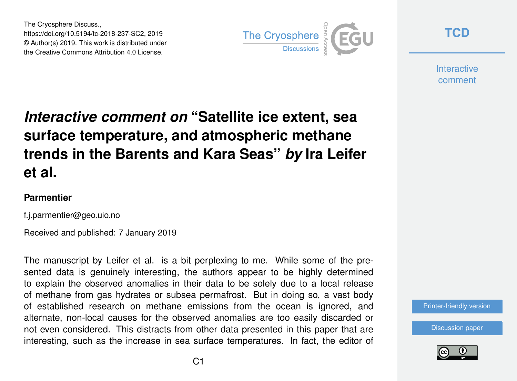The Cryosphere Discuss., https://doi.org/10.5194/tc-2018-237-SC2, 2019 © Author(s) 2019. This work is distributed under the Creative Commons Attribution 4.0 License.



**[TCD](https://www.the-cryosphere-discuss.net/)**

**Interactive** comment

# *Interactive comment on* **"Satellite ice extent, sea surface temperature, and atmospheric methane trends in the Barents and Kara Seas"** *by* **Ira Leifer et al.**

#### **Parmentier**

f.j.parmentier@geo.uio.no

Received and published: 7 January 2019

The manuscript by Leifer et al. is a bit perplexing to me. While some of the presented data is genuinely interesting, the authors appear to be highly determined to explain the observed anomalies in their data to be solely due to a local release of methane from gas hydrates or subsea permafrost. But in doing so, a vast body of established research on methane emissions from the ocean is ignored, and alternate, non-local causes for the observed anomalies are too easily discarded or not even considered. This distracts from other data presented in this paper that are interesting, such as the increase in sea surface temperatures. In fact, the editor of

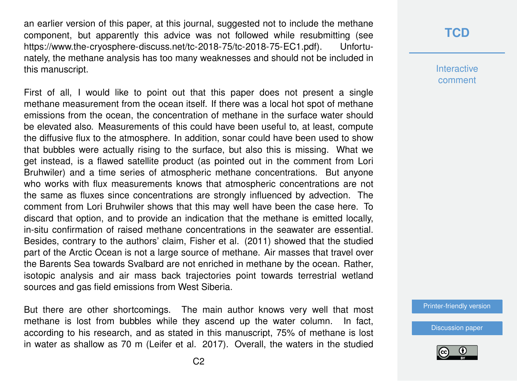an earlier version of this paper, at this journal, suggested not to include the methane component, but apparently this advice was not followed while resubmitting (see [https://www.the-cryosphere-discuss.net/tc-2018-75/tc-2018-75-EC1.pdf\)](https://www.the-cryosphere-discuss.net/tc-2018-75/tc-2018-75-EC1.pdf). Unfortunately, the methane analysis has too many weaknesses and should not be included in this manuscript.

First of all, I would like to point out that this paper does not present a single methane measurement from the ocean itself. If there was a local hot spot of methane emissions from the ocean, the concentration of methane in the surface water should be elevated also. Measurements of this could have been useful to, at least, compute the diffusive flux to the atmosphere. In addition, sonar could have been used to show that bubbles were actually rising to the surface, but also this is missing. What we get instead, is a flawed satellite product (as pointed out in the comment from Lori Bruhwiler) and a time series of atmospheric methane concentrations. But anyone who works with flux measurements knows that atmospheric concentrations are not the same as fluxes since concentrations are strongly influenced by advection. The comment from Lori Bruhwiler shows that this may well have been the case here. To discard that option, and to provide an indication that the methane is emitted locally, in-situ confirmation of raised methane concentrations in the seawater are essential. Besides, contrary to the authors' claim, Fisher et al. (2011) showed that the studied part of the Arctic Ocean is not a large source of methane. Air masses that travel over the Barents Sea towards Svalbard are not enriched in methane by the ocean. Rather, isotopic analysis and air mass back trajectories point towards terrestrial wetland sources and gas field emissions from West Siberia.

But there are other shortcomings. The main author knows very well that most methane is lost from bubbles while they ascend up the water column. In fact, according to his research, and as stated in this manuscript, 75% of methane is lost in water as shallow as 70 m (Leifer et al. 2017). Overall, the waters in the studied

### **[TCD](https://www.the-cryosphere-discuss.net/)**

**Interactive** comment

[Printer-friendly version](https://www.the-cryosphere-discuss.net/tc-2018-237/tc-2018-237-SC2-print.pdf)

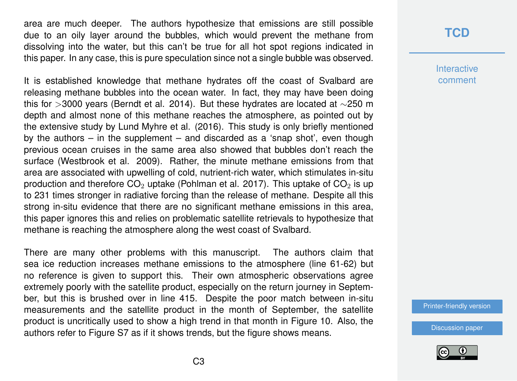area are much deeper. The authors hypothesize that emissions are still possible due to an oily layer around the bubbles, which would prevent the methane from dissolving into the water, but this can't be true for all hot spot regions indicated in this paper. In any case, this is pure speculation since not a single bubble was observed.

It is established knowledge that methane hydrates off the coast of Svalbard are releasing methane bubbles into the ocean water. In fact, they may have been doing this for >3000 years (Berndt et al. 2014). But these hydrates are located at ∼250 m depth and almost none of this methane reaches the atmosphere, as pointed out by the extensive study by Lund Myhre et al. (2016). This study is only briefly mentioned by the authors – in the supplement – and discarded as a 'snap shot', even though previous ocean cruises in the same area also showed that bubbles don't reach the surface (Westbrook et al. 2009). Rather, the minute methane emissions from that area are associated with upwelling of cold, nutrient-rich water, which stimulates in-situ production and therefore  $CO<sub>2</sub>$  uptake (Pohlman et al. 2017). This uptake of  $CO<sub>2</sub>$  is up to 231 times stronger in radiative forcing than the release of methane. Despite all this strong in-situ evidence that there are no significant methane emissions in this area, this paper ignores this and relies on problematic satellite retrievals to hypothesize that methane is reaching the atmosphere along the west coast of Svalbard.

There are many other problems with this manuscript. The authors claim that sea ice reduction increases methane emissions to the atmosphere (line 61-62) but no reference is given to support this. Their own atmospheric observations agree extremely poorly with the satellite product, especially on the return journey in September, but this is brushed over in line 415. Despite the poor match between in-situ measurements and the satellite product in the month of September, the satellite product is uncritically used to show a high trend in that month in Figure 10. Also, the authors refer to Figure S7 as if it shows trends, but the figure shows means.

#### **[TCD](https://www.the-cryosphere-discuss.net/)**

**Interactive** comment

[Printer-friendly version](https://www.the-cryosphere-discuss.net/tc-2018-237/tc-2018-237-SC2-print.pdf)

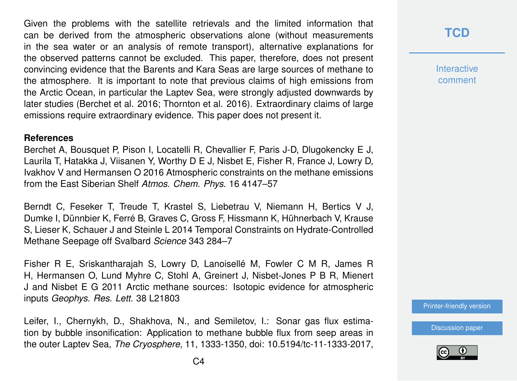Given the problems with the satellite retrievals and the limited information that can be derived from the atmospheric observations alone (without measurements in the sea water or an analysis of remote transport), alternative explanations for the observed patterns cannot be excluded. This paper, therefore, does not present convincing evidence that the Barents and Kara Seas are large sources of methane to the atmosphere. It is important to note that previous claims of high emissions from the Arctic Ocean, in particular the Laptev Sea, were strongly adjusted downwards by later studies (Berchet et al. 2016; Thornton et al. 2016). Extraordinary claims of large emissions require extraordinary evidence. This paper does not present it.

#### **References**

Berchet A, Bousquet P, Pison I, Locatelli R, Chevallier F, Paris J-D, Dlugokencky E J, Laurila T, Hatakka J, Viisanen Y, Worthy D E J, Nisbet E, Fisher R, France J, Lowry D, Ivakhov V and Hermansen O 2016 Atmospheric constraints on the methane emissions from the East Siberian Shelf *Atmos. Chem. Phys.* 16 4147–57

Berndt C, Feseker T, Treude T, Krastel S, Liebetrau V, Niemann H, Bertics V J, Dumke I, Dünnbier K, Ferré B, Graves C, Gross F, Hissmann K, Hühnerbach V, Krause S, Lieser K, Schauer J and Steinle L 2014 Temporal Constraints on Hydrate-Controlled Methane Seepage off Svalbard *Science* 343 284–7

Fisher R E, Sriskantharajah S, Lowry D, Lanoisellé M, Fowler C M R, James R H, Hermansen O, Lund Myhre C, Stohl A, Greinert J, Nisbet-Jones P B R, Mienert J and Nisbet E G 2011 Arctic methane sources: Isotopic evidence for atmospheric inputs *Geophys. Res. Lett.* 38 L21803

Leifer, I., Chernykh, D., Shakhova, N., and Semiletov, I.: Sonar gas flux estimation by bubble insonification: Application to methane bubble flux from seep areas in the outer Laptev Sea, *The Cryosphere*, 11, 1333-1350, doi: 10.5194/tc-11-1333-2017, **Interactive** comment

[Printer-friendly version](https://www.the-cryosphere-discuss.net/tc-2018-237/tc-2018-237-SC2-print.pdf)